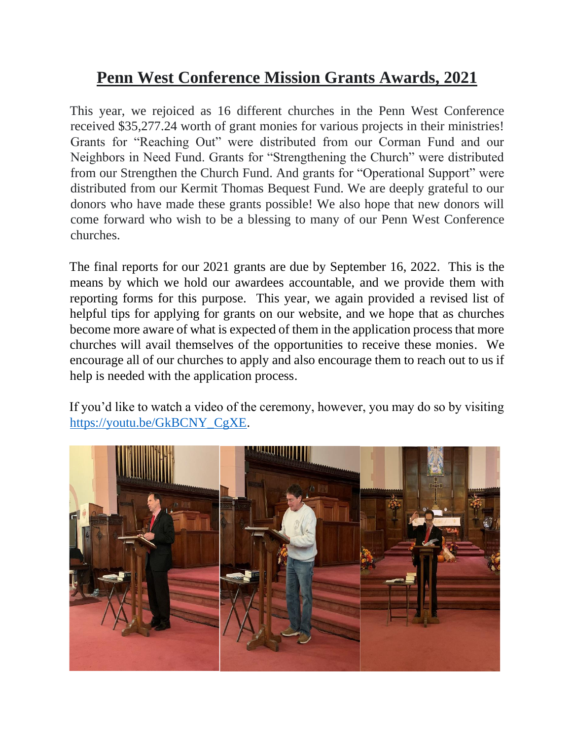## **Penn West Conference Mission Grants Awards, 2021**

This year, we rejoiced as 16 different churches in the Penn West Conference received \$35,277.24 worth of grant monies for various projects in their ministries! Grants for "Reaching Out" were distributed from our Corman Fund and our Neighbors in Need Fund. Grants for "Strengthening the Church" were distributed from our Strengthen the Church Fund. And grants for "Operational Support" were distributed from our Kermit Thomas Bequest Fund. We are deeply grateful to our donors who have made these grants possible! We also hope that new donors will come forward who wish to be a blessing to many of our Penn West Conference churches.

The final reports for our 2021 grants are due by September 16, 2022. This is the means by which we hold our awardees accountable, and we provide them with reporting forms for this purpose. This year, we again provided a revised list of helpful tips for applying for grants on our website, and we hope that as churches become more aware of what is expected of them in the application process that more churches will avail themselves of the opportunities to receive these monies. We encourage all of our churches to apply and also encourage them to reach out to us if help is needed with the application process.

If you'd like to watch a video of the ceremony, however, you may do so by visiting [https://youtu.be/GkBCNY\\_CgXE.](https://youtu.be/GkBCNY_CgXE)

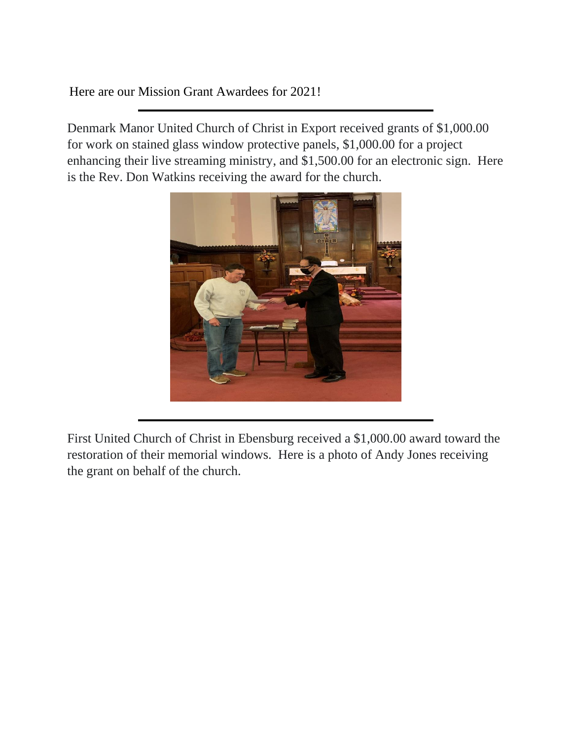Here are our Mission Grant Awardees for 2021!

Denmark Manor United Church of Christ in Export received grants of \$1,000.00 for work on stained glass window protective panels, \$1,000.00 for a project enhancing their live streaming ministry, and \$1,500.00 for an electronic sign. Here is the Rev. Don Watkins receiving the award for the church.



First United Church of Christ in Ebensburg received a \$1,000.00 award toward the restoration of their memorial windows. Here is a photo of Andy Jones receiving the grant on behalf of the church.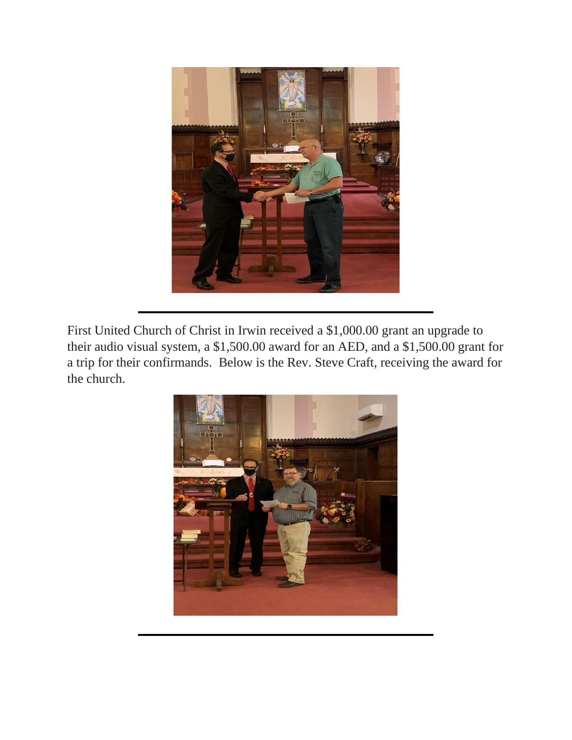

First United Church of Christ in Irwin received a \$1,000.00 grant an upgrade to their audio visual system, a \$1,500.00 award for an AED, and a \$1,500.00 grant for a trip for their confirmands. Below is the Rev. Steve Craft, receiving the award for the church.

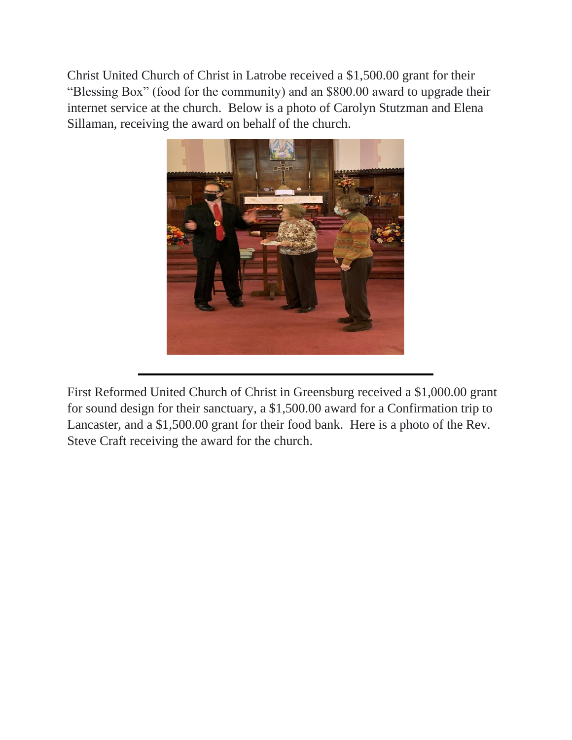Christ United Church of Christ in Latrobe received a \$1,500.00 grant for their "Blessing Box" (food for the community) and an \$800.00 award to upgrade their internet service at the church. Below is a photo of Carolyn Stutzman and Elena Sillaman, receiving the award on behalf of the church.



First Reformed United Church of Christ in Greensburg received a \$1,000.00 grant for sound design for their sanctuary, a \$1,500.00 award for a Confirmation trip to Lancaster, and a \$1,500.00 grant for their food bank. Here is a photo of the Rev. Steve Craft receiving the award for the church.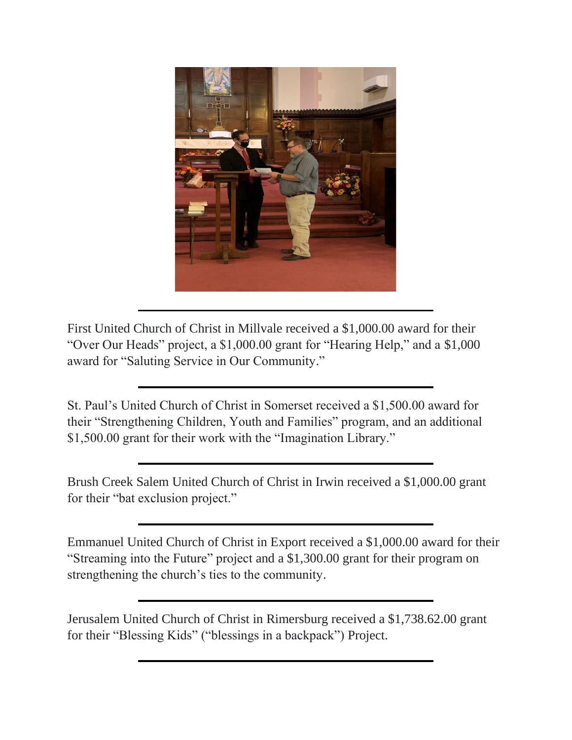

First United Church of Christ in Millvale received a \$1,000.00 award for their "Over Our Heads" project, a \$1,000.00 grant for "Hearing Help," and a \$1,000 award for "Saluting Service in Our Community."

St. Paul's United Church of Christ in Somerset received a \$1,500.00 award for their "Strengthening Children, Youth and Families" program, and an additional \$1,500.00 grant for their work with the "Imagination Library."

Brush Creek Salem United Church of Christ in Irwin received a \$1,000.00 grant for their "bat exclusion project."

Emmanuel United Church of Christ in Export received a \$1,000.00 award for their "Streaming into the Future" project and a \$1,300.00 grant for their program on strengthening the church's ties to the community.

Jerusalem United Church of Christ in Rimersburg received a \$1,738.62.00 grant for their "Blessing Kids" ("blessings in a backpack") Project.